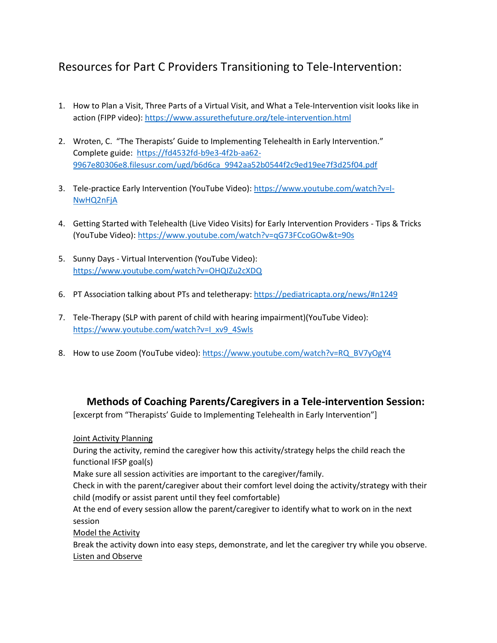## Resources for Part C Providers Transitioning to Tele-Intervention:

- 1. How to Plan a Visit, Three Parts of a Virtual Visit, and What a Tele-Intervention visit looks like in action (FIPP video)[: https://www.assurethefuture.org/tele-intervention.html](https://www.assurethefuture.org/tele-intervention.html)
- 2. Wroten, C. "The Therapists' Guide to Implementing Telehealth in Early Intervention." Complete guide: [https://fd4532fd-b9e3-4f2b-aa62-](https://fd4532fd-b9e3-4f2b-aa62-9967e80306e8.filesusr.com/ugd/b6d6ca_9942aa52b0544f2c9ed19ee7f3d25f04.pdf) [9967e80306e8.filesusr.com/ugd/b6d6ca\\_9942aa52b0544f2c9ed19ee7f3d25f04.pdf](https://fd4532fd-b9e3-4f2b-aa62-9967e80306e8.filesusr.com/ugd/b6d6ca_9942aa52b0544f2c9ed19ee7f3d25f04.pdf)
- 3. Tele-practice Early Intervention (YouTube Video): [https://www.youtube.com/watch?v=l-](https://www.youtube.com/watch?v=l-NwHQ2nFjA)[NwHQ2nFjA](https://www.youtube.com/watch?v=l-NwHQ2nFjA)
- 4. Getting Started with Telehealth (Live Video Visits) for Early Intervention Providers Tips & Tricks (YouTube Video)[: https://www.youtube.com/watch?v=qG73FCcoGOw&t=90s](https://www.youtube.com/watch?v=qG73FCcoGOw&t=90s)
- 5. Sunny Days Virtual Intervention (YouTube Video): <https://www.youtube.com/watch?v=OHQIZu2cXDQ>
- 6. PT Association talking about PTs and teletherapy:<https://pediatricapta.org/news/#n1249>
- 7. Tele-Therapy (SLP with parent of child with hearing impairment)(YouTube Video): [https://www.youtube.com/watch?v=I\\_xv9\\_4Swls](https://www.youtube.com/watch?v=I_xv9_4Swls)
- 8. How to use Zoom (YouTube video)[: https://www.youtube.com/watch?v=RQ\\_BV7yOgY4](https://www.youtube.com/watch?v=RQ_BV7yOgY4)

## **Methods of Coaching Parents/Caregivers in a Tele-intervention Session:**

[excerpt from "Therapists' Guide to Implementing Telehealth in Early Intervention"]

Joint Activity Planning

During the activity, remind the caregiver how this activity/strategy helps the child reach the functional IFSP goal(s)

Make sure all session activities are important to the caregiver/family.

Check in with the parent/caregiver about their comfort level doing the activity/strategy with their child (modify or assist parent until they feel comfortable)

At the end of every session allow the parent/caregiver to identify what to work on in the next session

Model the Activity

Break the activity down into easy steps, demonstrate, and let the caregiver try while you observe. Listen and Observe